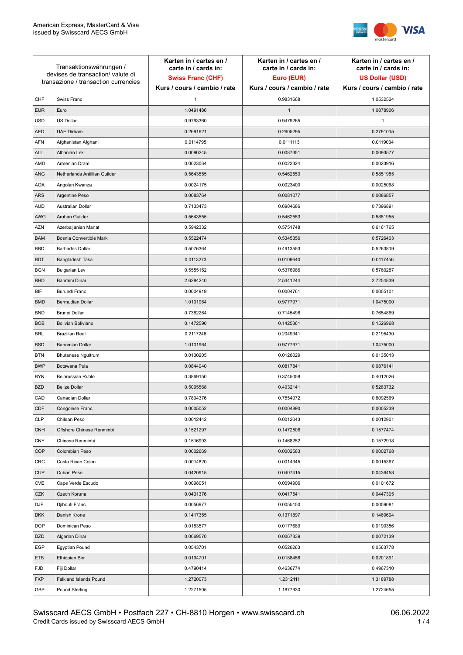

| Transaktionswährungen /<br>devises de transaction/valute di<br>transazione / transaction currencies |                               | Karten in / cartes en /<br>carte in / cards in:<br><b>Swiss Franc (CHF)</b> | Karten in / cartes en /<br>carte in / cards in:<br>Euro (EUR) | Karten in / cartes en /<br>carte in / cards in:<br><b>US Dollar (USD)</b> |
|-----------------------------------------------------------------------------------------------------|-------------------------------|-----------------------------------------------------------------------------|---------------------------------------------------------------|---------------------------------------------------------------------------|
|                                                                                                     |                               | Kurs / cours / cambio / rate                                                | Kurs / cours / cambio / rate                                  | Kurs / cours / cambio / rate                                              |
| CHF                                                                                                 | Swiss Franc                   | $\mathbf{1}$                                                                | 0.9831668                                                     | 1.0532524                                                                 |
| <b>EUR</b>                                                                                          | Euro                          | 1.0491486                                                                   | $\mathbf{1}$                                                  | 1.0878906                                                                 |
| <b>USD</b>                                                                                          | <b>US Dollar</b>              | 0.9793360                                                                   | 0.9479265                                                     | 1                                                                         |
| <b>AED</b>                                                                                          | <b>UAE Dirham</b>             | 0.2691621                                                                   | 0.2605295                                                     | 0.2791015                                                                 |
| <b>AFN</b>                                                                                          | Afghanistan Afghani           | 0.0114795                                                                   | 0.0111113                                                     | 0.0119034                                                                 |
| <b>ALL</b>                                                                                          | Albanian Lek                  | 0.0090245                                                                   | 0.0087351                                                     | 0.0093577                                                                 |
| AMD                                                                                                 | Armenian Dram                 | 0.0023064                                                                   | 0.0022324                                                     | 0.0023916                                                                 |
| ANG                                                                                                 | Netherlands Antillian Guilder | 0.5643555                                                                   | 0.5462553                                                     | 0.5851955                                                                 |
| <b>AOA</b>                                                                                          | Angolan Kwanza                | 0.0024175                                                                   | 0.0023400                                                     | 0.0025068                                                                 |
| ARS                                                                                                 | Argentine Peso                | 0.0083764                                                                   | 0.0081077                                                     | 0.0086857                                                                 |
| <b>AUD</b>                                                                                          | Australian Dollar             | 0.7133473                                                                   | 0.6904686                                                     | 0.7396891                                                                 |
| AWG                                                                                                 | Aruban Guilder                | 0.5643555                                                                   | 0.5462553                                                     | 0.5851955                                                                 |
| <b>AZN</b>                                                                                          | Azerbaijanian Manat           | 0.5942332                                                                   | 0.5751748                                                     | 0.6161765                                                                 |
| <b>BAM</b>                                                                                          | Bosnia Convertible Mark       | 0.5522474                                                                   | 0.5345356                                                     | 0.5726403                                                                 |
| <b>BBD</b>                                                                                          | <b>Barbados Dollar</b>        | 0.5076364                                                                   | 0.4913553                                                     | 0.5263819                                                                 |
| <b>BDT</b>                                                                                          | Bangladesh Taka               | 0.0113273                                                                   | 0.0109640                                                     | 0.0117456                                                                 |
| <b>BGN</b>                                                                                          | <b>Bulgarian Lev</b>          | 0.5555152                                                                   | 0.5376986                                                     | 0.5760287                                                                 |
| <b>BHD</b>                                                                                          | Bahraini Dinar                | 2.6284240                                                                   | 2.5441244                                                     | 2.7254839                                                                 |
| BIF                                                                                                 | Burundi Franc                 | 0.0004919                                                                   | 0.0004761                                                     | 0.0005101                                                                 |
| <b>BMD</b>                                                                                          | Bermudian Dollar              | 1.0101964                                                                   | 0.9777971                                                     | 1.0475000                                                                 |
| <b>BND</b>                                                                                          | <b>Brunei Dollar</b>          | 0.7382264                                                                   | 0.7145498                                                     | 0.7654869                                                                 |
| <b>BOB</b>                                                                                          | Bolivian Boliviano            | 0.1472590                                                                   | 0.1425361                                                     | 0.1526968                                                                 |
| <b>BRL</b>                                                                                          | <b>Brazilian Real</b>         | 0.2117246                                                                   | 0.2049341                                                     | 0.2195430                                                                 |
| <b>BSD</b>                                                                                          | <b>Bahamian Dollar</b>        | 1.0101964                                                                   | 0.9777971                                                     | 1.0475000                                                                 |
| <b>BTN</b>                                                                                          | <b>Bhutanese Ngultrum</b>     | 0.0130205                                                                   | 0.0126029                                                     | 0.0135013                                                                 |
| <b>BWP</b>                                                                                          | Botswana Pula                 | 0.0844940                                                                   | 0.0817841                                                     | 0.0876141                                                                 |
| <b>BYN</b>                                                                                          | Belarussian Ruble             | 0.3869150                                                                   | 0.3745058                                                     | 0.4012026                                                                 |
| <b>BZD</b>                                                                                          | <b>Belize Dollar</b>          | 0.5095568                                                                   | 0.4932141                                                     | 0.5283732                                                                 |
| CAD                                                                                                 | Canadian Dollar               | 0.7804376                                                                   | 0.7554072                                                     | 0.8092569                                                                 |
| CDF                                                                                                 | Congolese Franc               | 0.0005052                                                                   | 0.0004890                                                     | 0.0005239                                                                 |
| <b>CLP</b>                                                                                          | Chilean Peso                  | 0.0012442                                                                   | 0.0012043                                                     | 0.0012901                                                                 |
| <b>CNH</b>                                                                                          | Offshore Chinese Renminbi     | 0.1521297                                                                   | 0.1472506                                                     | 0.1577474                                                                 |
| <b>CNY</b>                                                                                          | Chinese Renminbi              | 0.1516903                                                                   | 0.1468252                                                     | 0.1572918                                                                 |
| <b>COP</b>                                                                                          | Colombian Peso                | 0.0002669                                                                   | 0.0002583                                                     | 0.0002768                                                                 |
| CRC                                                                                                 | Costa Rican Colon             | 0.0014820                                                                   | 0.0014345                                                     | 0.0015367                                                                 |
| <b>CUP</b>                                                                                          | Cuban Peso                    | 0.0420915                                                                   | 0.0407415                                                     | 0.0436458                                                                 |
| CVE                                                                                                 | Cape Verde Escudo             | 0.0098051                                                                   | 0.0094906                                                     | 0.0101672                                                                 |
| CZK                                                                                                 | Czech Koruna                  | 0.0431376                                                                   | 0.0417541                                                     | 0.0447305                                                                 |
| <b>DJF</b>                                                                                          | Djibouti Franc                | 0.0056977                                                                   | 0.0055150                                                     | 0.0059081                                                                 |
| <b>DKK</b>                                                                                          | Danish Krone                  | 0.1417355                                                                   | 0.1371897                                                     | 0.1469694                                                                 |
| <b>DOP</b>                                                                                          | Dominican Peso                | 0.0183577                                                                   | 0.0177689                                                     | 0.0190356                                                                 |
| <b>DZD</b>                                                                                          | Algerian Dinar                | 0.0069570                                                                   | 0.0067339                                                     | 0.0072139                                                                 |
| EGP                                                                                                 | Egyptian Pound                | 0.0543701                                                                   | 0.0526263                                                     | 0.0563778                                                                 |
| ETB                                                                                                 | Ethiopian Birr                | 0.0194701                                                                   | 0.0188456                                                     | 0.0201891                                                                 |
| <b>FJD</b>                                                                                          | Fiji Dollar                   | 0.4790414                                                                   | 0.4636774                                                     | 0.4967310                                                                 |
| <b>FKP</b>                                                                                          | Falkland Islands Pound        | 1.2720073                                                                   | 1.2312111                                                     | 1.3189788                                                                 |
| GBP                                                                                                 | Pound Sterling                | 1.2271505                                                                   | 1.1877930                                                     | 1.2724655                                                                 |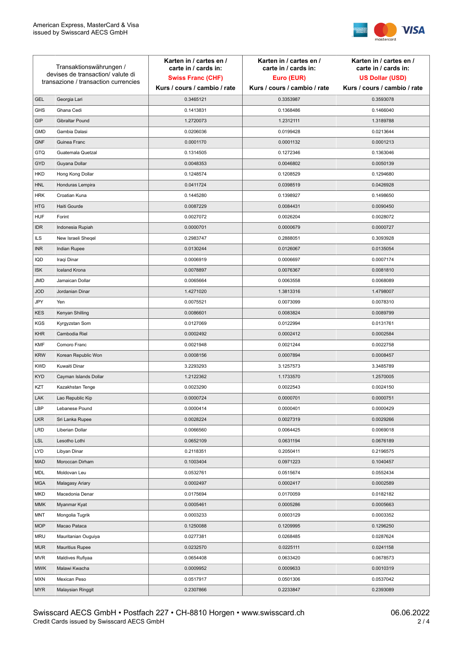

| devises de transaction/valute di<br><b>Swiss Franc (CHF)</b><br>Euro (EUR)<br><b>US Dollar (USD)</b><br>transazione / transaction currencies<br>Kurs / cours / cambio / rate<br>Kurs / cours / cambio / rate<br>Kurs / cours / cambio / rate<br>Georgia Lari<br>0.3465121<br>0.3353987<br><b>GEL</b><br>0.3593078<br><b>GHS</b><br>Ghana Cedi<br>0.1413831<br>0.1368486<br>0.1466040<br>GIP<br>Gibraltar Pound<br>1.2720073<br>1.2312111<br>1.3189788<br>Gambia Dalasi<br>0.0206036<br>0.0199428<br><b>GMD</b><br>0.0213644<br><b>GNF</b><br>Guinea Franc<br>0.0001170<br>0.0001132<br>0.0001213<br><b>GTQ</b><br>Guatemala Quetzal<br>0.1314505<br>0.1272346<br>0.1363046<br>GYD<br>Guyana Dollar<br>0.0048353<br>0.0046802<br>0.0050139<br>HKD<br>Hong Kong Dollar<br>0.1248574<br>0.1208529<br>0.1294680<br>0.0411724<br>0.0398519<br>0.0426928<br><b>HNL</b><br>Honduras Lempira<br><b>HRK</b><br>Croatian Kuna<br>0.1445280<br>0.1398927<br>0.1498650<br><b>HTG</b><br>Haiti Gourde<br>0.0087229<br>0.0084431<br>0.0090450<br><b>HUF</b><br>Forint<br>0.0027072<br>0.0026204<br>0.0028072<br><b>IDR</b><br>0.0000701<br>0.0000679<br>0.0000727<br>Indonesia Rupiah<br><b>ILS</b><br>New Israeli Sheqel<br>0.2983747<br>0.2888051<br>0.3093928<br><b>INR</b><br>Indian Rupee<br>0.0130244<br>0.0126067<br>0.0135054<br>IQD<br>Iraqi Dinar<br>0.0006919<br>0.0006697<br>0.0007174<br><b>Iceland Krona</b><br><b>ISK</b><br>0.0078897<br>0.0076367<br>0.0081810<br><b>JMD</b><br>Jamaican Dollar<br>0.0065664<br>0.0063558<br>0.0068089<br><b>JOD</b><br>Jordanian Dinar<br>1.4271020<br>1.3813316<br>1.4798007<br>JPY<br>Yen<br>0.0075521<br>0.0073099<br>0.0078310<br><b>KES</b><br>Kenyan Shilling<br>0.0086601<br>0.0083824<br>0.0089799<br><b>KGS</b><br>Kyrgyzstan Som<br>0.0127069<br>0.0122994<br>0.0131761<br><b>KHR</b><br>Cambodia Riel<br>0.0002492<br>0.0002412<br>0.0002584<br><b>KMF</b><br>Comoro Franc<br>0.0021948<br>0.0021244<br>0.0022758<br><b>KRW</b><br>Korean Republic Won<br>0.0008156<br>0.0007894<br>0.0008457<br><b>KWD</b><br>Kuwaiti Dinar<br>3.2293293<br>3.1257573<br>3.3485789<br><b>KYD</b><br>Cayman Islands Dollar<br>1.2122362<br>1.1733570<br>1.2570005<br>KZT<br>0.0023290<br>0.0022543<br>0.0024150<br>Kazakhstan Tenge<br>LAK<br>Lao Republic Kip<br>0.0000724<br>0.0000701<br>0.0000751<br>LBP<br>0.0000401<br>0.0000429<br>0.0000414<br>Lebanese Pound<br><b>LKR</b><br>0.0028224<br>0.0027319<br>Sri Lanka Rupee<br>0.0029266<br><b>LRD</b><br>0.0066560<br>Liberian Dollar<br>0.0064425<br>0.0069018<br><b>LSL</b><br>0.0652109<br>0.0631194<br>Lesotho Lothi<br>0.0676189<br>LYD<br>Libyan Dinar<br>0.2118351<br>0.2050411<br>0.2196575<br><b>MAD</b><br>Moroccan Dirham<br>0.1003404<br>0.0971223<br>0.1040457<br>MDL<br>Moldovan Leu<br>0.0532761<br>0.0515674<br>0.0552434<br><b>MGA</b><br>Malagasy Ariary<br>0.0002497<br>0.0002417<br>0.0002589<br>0.0170059<br>MKD<br>Macedonia Denar<br>0.0175694<br>0.0182182<br><b>MMK</b><br>Myanmar Kyat<br>0.0005461<br>0.0005286<br>0.0005663<br><b>MNT</b><br>Mongolia Tugrik<br>0.0003233<br>0.0003129<br>0.0003352<br><b>MOP</b><br>Macao Pataca<br>0.1250088<br>0.1209995<br>0.1296250<br><b>MRU</b><br>Mauritanian Ouguiya<br>0.0277381<br>0.0268485<br>0.0287624<br><b>MUR</b><br>0.0232570<br>0.0225111<br><b>Mauritius Rupee</b><br>0.0241158<br><b>MVR</b><br>0.0633420<br>0.0678573<br>Maldives Rufiyaa<br>0.0654408<br><b>MWK</b><br>0.0009952<br>0.0009633<br>0.0010319<br>Malawi Kwacha<br>0.0517917<br>0.0501306<br>0.0537042<br><b>MXN</b><br>Mexican Peso<br><b>MYR</b><br>Malaysian Ringgit<br>0.2307866<br>0.2233847<br>0.2393089 | Transaktionswährungen / |  | Karten in / cartes en /<br>carte in / cards in: | Karten in / cartes en /<br>carte in / cards in: | Karten in / cartes en /<br>carte in / cards in: |
|----------------------------------------------------------------------------------------------------------------------------------------------------------------------------------------------------------------------------------------------------------------------------------------------------------------------------------------------------------------------------------------------------------------------------------------------------------------------------------------------------------------------------------------------------------------------------------------------------------------------------------------------------------------------------------------------------------------------------------------------------------------------------------------------------------------------------------------------------------------------------------------------------------------------------------------------------------------------------------------------------------------------------------------------------------------------------------------------------------------------------------------------------------------------------------------------------------------------------------------------------------------------------------------------------------------------------------------------------------------------------------------------------------------------------------------------------------------------------------------------------------------------------------------------------------------------------------------------------------------------------------------------------------------------------------------------------------------------------------------------------------------------------------------------------------------------------------------------------------------------------------------------------------------------------------------------------------------------------------------------------------------------------------------------------------------------------------------------------------------------------------------------------------------------------------------------------------------------------------------------------------------------------------------------------------------------------------------------------------------------------------------------------------------------------------------------------------------------------------------------------------------------------------------------------------------------------------------------------------------------------------------------------------------------------------------------------------------------------------------------------------------------------------------------------------------------------------------------------------------------------------------------------------------------------------------------------------------------------------------------------------------------------------------------------------------------------------------------------------------------------------------------------------------------------------------------------------------------------------------------------------------------------------------------------------------------------------------------------------------------------------------------------------------------------------------------------------------------------------------------------------------------------------------------------------------------------------------------------------------------------------------------------|-------------------------|--|-------------------------------------------------|-------------------------------------------------|-------------------------------------------------|
|                                                                                                                                                                                                                                                                                                                                                                                                                                                                                                                                                                                                                                                                                                                                                                                                                                                                                                                                                                                                                                                                                                                                                                                                                                                                                                                                                                                                                                                                                                                                                                                                                                                                                                                                                                                                                                                                                                                                                                                                                                                                                                                                                                                                                                                                                                                                                                                                                                                                                                                                                                                                                                                                                                                                                                                                                                                                                                                                                                                                                                                                                                                                                                                                                                                                                                                                                                                                                                                                                                                                                                                                                                                    |                         |  |                                                 |                                                 |                                                 |
|                                                                                                                                                                                                                                                                                                                                                                                                                                                                                                                                                                                                                                                                                                                                                                                                                                                                                                                                                                                                                                                                                                                                                                                                                                                                                                                                                                                                                                                                                                                                                                                                                                                                                                                                                                                                                                                                                                                                                                                                                                                                                                                                                                                                                                                                                                                                                                                                                                                                                                                                                                                                                                                                                                                                                                                                                                                                                                                                                                                                                                                                                                                                                                                                                                                                                                                                                                                                                                                                                                                                                                                                                                                    |                         |  |                                                 |                                                 |                                                 |
|                                                                                                                                                                                                                                                                                                                                                                                                                                                                                                                                                                                                                                                                                                                                                                                                                                                                                                                                                                                                                                                                                                                                                                                                                                                                                                                                                                                                                                                                                                                                                                                                                                                                                                                                                                                                                                                                                                                                                                                                                                                                                                                                                                                                                                                                                                                                                                                                                                                                                                                                                                                                                                                                                                                                                                                                                                                                                                                                                                                                                                                                                                                                                                                                                                                                                                                                                                                                                                                                                                                                                                                                                                                    |                         |  |                                                 |                                                 |                                                 |
|                                                                                                                                                                                                                                                                                                                                                                                                                                                                                                                                                                                                                                                                                                                                                                                                                                                                                                                                                                                                                                                                                                                                                                                                                                                                                                                                                                                                                                                                                                                                                                                                                                                                                                                                                                                                                                                                                                                                                                                                                                                                                                                                                                                                                                                                                                                                                                                                                                                                                                                                                                                                                                                                                                                                                                                                                                                                                                                                                                                                                                                                                                                                                                                                                                                                                                                                                                                                                                                                                                                                                                                                                                                    |                         |  |                                                 |                                                 |                                                 |
|                                                                                                                                                                                                                                                                                                                                                                                                                                                                                                                                                                                                                                                                                                                                                                                                                                                                                                                                                                                                                                                                                                                                                                                                                                                                                                                                                                                                                                                                                                                                                                                                                                                                                                                                                                                                                                                                                                                                                                                                                                                                                                                                                                                                                                                                                                                                                                                                                                                                                                                                                                                                                                                                                                                                                                                                                                                                                                                                                                                                                                                                                                                                                                                                                                                                                                                                                                                                                                                                                                                                                                                                                                                    |                         |  |                                                 |                                                 |                                                 |
|                                                                                                                                                                                                                                                                                                                                                                                                                                                                                                                                                                                                                                                                                                                                                                                                                                                                                                                                                                                                                                                                                                                                                                                                                                                                                                                                                                                                                                                                                                                                                                                                                                                                                                                                                                                                                                                                                                                                                                                                                                                                                                                                                                                                                                                                                                                                                                                                                                                                                                                                                                                                                                                                                                                                                                                                                                                                                                                                                                                                                                                                                                                                                                                                                                                                                                                                                                                                                                                                                                                                                                                                                                                    |                         |  |                                                 |                                                 |                                                 |
|                                                                                                                                                                                                                                                                                                                                                                                                                                                                                                                                                                                                                                                                                                                                                                                                                                                                                                                                                                                                                                                                                                                                                                                                                                                                                                                                                                                                                                                                                                                                                                                                                                                                                                                                                                                                                                                                                                                                                                                                                                                                                                                                                                                                                                                                                                                                                                                                                                                                                                                                                                                                                                                                                                                                                                                                                                                                                                                                                                                                                                                                                                                                                                                                                                                                                                                                                                                                                                                                                                                                                                                                                                                    |                         |  |                                                 |                                                 |                                                 |
|                                                                                                                                                                                                                                                                                                                                                                                                                                                                                                                                                                                                                                                                                                                                                                                                                                                                                                                                                                                                                                                                                                                                                                                                                                                                                                                                                                                                                                                                                                                                                                                                                                                                                                                                                                                                                                                                                                                                                                                                                                                                                                                                                                                                                                                                                                                                                                                                                                                                                                                                                                                                                                                                                                                                                                                                                                                                                                                                                                                                                                                                                                                                                                                                                                                                                                                                                                                                                                                                                                                                                                                                                                                    |                         |  |                                                 |                                                 |                                                 |
|                                                                                                                                                                                                                                                                                                                                                                                                                                                                                                                                                                                                                                                                                                                                                                                                                                                                                                                                                                                                                                                                                                                                                                                                                                                                                                                                                                                                                                                                                                                                                                                                                                                                                                                                                                                                                                                                                                                                                                                                                                                                                                                                                                                                                                                                                                                                                                                                                                                                                                                                                                                                                                                                                                                                                                                                                                                                                                                                                                                                                                                                                                                                                                                                                                                                                                                                                                                                                                                                                                                                                                                                                                                    |                         |  |                                                 |                                                 |                                                 |
|                                                                                                                                                                                                                                                                                                                                                                                                                                                                                                                                                                                                                                                                                                                                                                                                                                                                                                                                                                                                                                                                                                                                                                                                                                                                                                                                                                                                                                                                                                                                                                                                                                                                                                                                                                                                                                                                                                                                                                                                                                                                                                                                                                                                                                                                                                                                                                                                                                                                                                                                                                                                                                                                                                                                                                                                                                                                                                                                                                                                                                                                                                                                                                                                                                                                                                                                                                                                                                                                                                                                                                                                                                                    |                         |  |                                                 |                                                 |                                                 |
|                                                                                                                                                                                                                                                                                                                                                                                                                                                                                                                                                                                                                                                                                                                                                                                                                                                                                                                                                                                                                                                                                                                                                                                                                                                                                                                                                                                                                                                                                                                                                                                                                                                                                                                                                                                                                                                                                                                                                                                                                                                                                                                                                                                                                                                                                                                                                                                                                                                                                                                                                                                                                                                                                                                                                                                                                                                                                                                                                                                                                                                                                                                                                                                                                                                                                                                                                                                                                                                                                                                                                                                                                                                    |                         |  |                                                 |                                                 |                                                 |
|                                                                                                                                                                                                                                                                                                                                                                                                                                                                                                                                                                                                                                                                                                                                                                                                                                                                                                                                                                                                                                                                                                                                                                                                                                                                                                                                                                                                                                                                                                                                                                                                                                                                                                                                                                                                                                                                                                                                                                                                                                                                                                                                                                                                                                                                                                                                                                                                                                                                                                                                                                                                                                                                                                                                                                                                                                                                                                                                                                                                                                                                                                                                                                                                                                                                                                                                                                                                                                                                                                                                                                                                                                                    |                         |  |                                                 |                                                 |                                                 |
|                                                                                                                                                                                                                                                                                                                                                                                                                                                                                                                                                                                                                                                                                                                                                                                                                                                                                                                                                                                                                                                                                                                                                                                                                                                                                                                                                                                                                                                                                                                                                                                                                                                                                                                                                                                                                                                                                                                                                                                                                                                                                                                                                                                                                                                                                                                                                                                                                                                                                                                                                                                                                                                                                                                                                                                                                                                                                                                                                                                                                                                                                                                                                                                                                                                                                                                                                                                                                                                                                                                                                                                                                                                    |                         |  |                                                 |                                                 |                                                 |
|                                                                                                                                                                                                                                                                                                                                                                                                                                                                                                                                                                                                                                                                                                                                                                                                                                                                                                                                                                                                                                                                                                                                                                                                                                                                                                                                                                                                                                                                                                                                                                                                                                                                                                                                                                                                                                                                                                                                                                                                                                                                                                                                                                                                                                                                                                                                                                                                                                                                                                                                                                                                                                                                                                                                                                                                                                                                                                                                                                                                                                                                                                                                                                                                                                                                                                                                                                                                                                                                                                                                                                                                                                                    |                         |  |                                                 |                                                 |                                                 |
|                                                                                                                                                                                                                                                                                                                                                                                                                                                                                                                                                                                                                                                                                                                                                                                                                                                                                                                                                                                                                                                                                                                                                                                                                                                                                                                                                                                                                                                                                                                                                                                                                                                                                                                                                                                                                                                                                                                                                                                                                                                                                                                                                                                                                                                                                                                                                                                                                                                                                                                                                                                                                                                                                                                                                                                                                                                                                                                                                                                                                                                                                                                                                                                                                                                                                                                                                                                                                                                                                                                                                                                                                                                    |                         |  |                                                 |                                                 |                                                 |
|                                                                                                                                                                                                                                                                                                                                                                                                                                                                                                                                                                                                                                                                                                                                                                                                                                                                                                                                                                                                                                                                                                                                                                                                                                                                                                                                                                                                                                                                                                                                                                                                                                                                                                                                                                                                                                                                                                                                                                                                                                                                                                                                                                                                                                                                                                                                                                                                                                                                                                                                                                                                                                                                                                                                                                                                                                                                                                                                                                                                                                                                                                                                                                                                                                                                                                                                                                                                                                                                                                                                                                                                                                                    |                         |  |                                                 |                                                 |                                                 |
|                                                                                                                                                                                                                                                                                                                                                                                                                                                                                                                                                                                                                                                                                                                                                                                                                                                                                                                                                                                                                                                                                                                                                                                                                                                                                                                                                                                                                                                                                                                                                                                                                                                                                                                                                                                                                                                                                                                                                                                                                                                                                                                                                                                                                                                                                                                                                                                                                                                                                                                                                                                                                                                                                                                                                                                                                                                                                                                                                                                                                                                                                                                                                                                                                                                                                                                                                                                                                                                                                                                                                                                                                                                    |                         |  |                                                 |                                                 |                                                 |
|                                                                                                                                                                                                                                                                                                                                                                                                                                                                                                                                                                                                                                                                                                                                                                                                                                                                                                                                                                                                                                                                                                                                                                                                                                                                                                                                                                                                                                                                                                                                                                                                                                                                                                                                                                                                                                                                                                                                                                                                                                                                                                                                                                                                                                                                                                                                                                                                                                                                                                                                                                                                                                                                                                                                                                                                                                                                                                                                                                                                                                                                                                                                                                                                                                                                                                                                                                                                                                                                                                                                                                                                                                                    |                         |  |                                                 |                                                 |                                                 |
|                                                                                                                                                                                                                                                                                                                                                                                                                                                                                                                                                                                                                                                                                                                                                                                                                                                                                                                                                                                                                                                                                                                                                                                                                                                                                                                                                                                                                                                                                                                                                                                                                                                                                                                                                                                                                                                                                                                                                                                                                                                                                                                                                                                                                                                                                                                                                                                                                                                                                                                                                                                                                                                                                                                                                                                                                                                                                                                                                                                                                                                                                                                                                                                                                                                                                                                                                                                                                                                                                                                                                                                                                                                    |                         |  |                                                 |                                                 |                                                 |
|                                                                                                                                                                                                                                                                                                                                                                                                                                                                                                                                                                                                                                                                                                                                                                                                                                                                                                                                                                                                                                                                                                                                                                                                                                                                                                                                                                                                                                                                                                                                                                                                                                                                                                                                                                                                                                                                                                                                                                                                                                                                                                                                                                                                                                                                                                                                                                                                                                                                                                                                                                                                                                                                                                                                                                                                                                                                                                                                                                                                                                                                                                                                                                                                                                                                                                                                                                                                                                                                                                                                                                                                                                                    |                         |  |                                                 |                                                 |                                                 |
|                                                                                                                                                                                                                                                                                                                                                                                                                                                                                                                                                                                                                                                                                                                                                                                                                                                                                                                                                                                                                                                                                                                                                                                                                                                                                                                                                                                                                                                                                                                                                                                                                                                                                                                                                                                                                                                                                                                                                                                                                                                                                                                                                                                                                                                                                                                                                                                                                                                                                                                                                                                                                                                                                                                                                                                                                                                                                                                                                                                                                                                                                                                                                                                                                                                                                                                                                                                                                                                                                                                                                                                                                                                    |                         |  |                                                 |                                                 |                                                 |
|                                                                                                                                                                                                                                                                                                                                                                                                                                                                                                                                                                                                                                                                                                                                                                                                                                                                                                                                                                                                                                                                                                                                                                                                                                                                                                                                                                                                                                                                                                                                                                                                                                                                                                                                                                                                                                                                                                                                                                                                                                                                                                                                                                                                                                                                                                                                                                                                                                                                                                                                                                                                                                                                                                                                                                                                                                                                                                                                                                                                                                                                                                                                                                                                                                                                                                                                                                                                                                                                                                                                                                                                                                                    |                         |  |                                                 |                                                 |                                                 |
|                                                                                                                                                                                                                                                                                                                                                                                                                                                                                                                                                                                                                                                                                                                                                                                                                                                                                                                                                                                                                                                                                                                                                                                                                                                                                                                                                                                                                                                                                                                                                                                                                                                                                                                                                                                                                                                                                                                                                                                                                                                                                                                                                                                                                                                                                                                                                                                                                                                                                                                                                                                                                                                                                                                                                                                                                                                                                                                                                                                                                                                                                                                                                                                                                                                                                                                                                                                                                                                                                                                                                                                                                                                    |                         |  |                                                 |                                                 |                                                 |
|                                                                                                                                                                                                                                                                                                                                                                                                                                                                                                                                                                                                                                                                                                                                                                                                                                                                                                                                                                                                                                                                                                                                                                                                                                                                                                                                                                                                                                                                                                                                                                                                                                                                                                                                                                                                                                                                                                                                                                                                                                                                                                                                                                                                                                                                                                                                                                                                                                                                                                                                                                                                                                                                                                                                                                                                                                                                                                                                                                                                                                                                                                                                                                                                                                                                                                                                                                                                                                                                                                                                                                                                                                                    |                         |  |                                                 |                                                 |                                                 |
|                                                                                                                                                                                                                                                                                                                                                                                                                                                                                                                                                                                                                                                                                                                                                                                                                                                                                                                                                                                                                                                                                                                                                                                                                                                                                                                                                                                                                                                                                                                                                                                                                                                                                                                                                                                                                                                                                                                                                                                                                                                                                                                                                                                                                                                                                                                                                                                                                                                                                                                                                                                                                                                                                                                                                                                                                                                                                                                                                                                                                                                                                                                                                                                                                                                                                                                                                                                                                                                                                                                                                                                                                                                    |                         |  |                                                 |                                                 |                                                 |
|                                                                                                                                                                                                                                                                                                                                                                                                                                                                                                                                                                                                                                                                                                                                                                                                                                                                                                                                                                                                                                                                                                                                                                                                                                                                                                                                                                                                                                                                                                                                                                                                                                                                                                                                                                                                                                                                                                                                                                                                                                                                                                                                                                                                                                                                                                                                                                                                                                                                                                                                                                                                                                                                                                                                                                                                                                                                                                                                                                                                                                                                                                                                                                                                                                                                                                                                                                                                                                                                                                                                                                                                                                                    |                         |  |                                                 |                                                 |                                                 |
|                                                                                                                                                                                                                                                                                                                                                                                                                                                                                                                                                                                                                                                                                                                                                                                                                                                                                                                                                                                                                                                                                                                                                                                                                                                                                                                                                                                                                                                                                                                                                                                                                                                                                                                                                                                                                                                                                                                                                                                                                                                                                                                                                                                                                                                                                                                                                                                                                                                                                                                                                                                                                                                                                                                                                                                                                                                                                                                                                                                                                                                                                                                                                                                                                                                                                                                                                                                                                                                                                                                                                                                                                                                    |                         |  |                                                 |                                                 |                                                 |
|                                                                                                                                                                                                                                                                                                                                                                                                                                                                                                                                                                                                                                                                                                                                                                                                                                                                                                                                                                                                                                                                                                                                                                                                                                                                                                                                                                                                                                                                                                                                                                                                                                                                                                                                                                                                                                                                                                                                                                                                                                                                                                                                                                                                                                                                                                                                                                                                                                                                                                                                                                                                                                                                                                                                                                                                                                                                                                                                                                                                                                                                                                                                                                                                                                                                                                                                                                                                                                                                                                                                                                                                                                                    |                         |  |                                                 |                                                 |                                                 |
|                                                                                                                                                                                                                                                                                                                                                                                                                                                                                                                                                                                                                                                                                                                                                                                                                                                                                                                                                                                                                                                                                                                                                                                                                                                                                                                                                                                                                                                                                                                                                                                                                                                                                                                                                                                                                                                                                                                                                                                                                                                                                                                                                                                                                                                                                                                                                                                                                                                                                                                                                                                                                                                                                                                                                                                                                                                                                                                                                                                                                                                                                                                                                                                                                                                                                                                                                                                                                                                                                                                                                                                                                                                    |                         |  |                                                 |                                                 |                                                 |
|                                                                                                                                                                                                                                                                                                                                                                                                                                                                                                                                                                                                                                                                                                                                                                                                                                                                                                                                                                                                                                                                                                                                                                                                                                                                                                                                                                                                                                                                                                                                                                                                                                                                                                                                                                                                                                                                                                                                                                                                                                                                                                                                                                                                                                                                                                                                                                                                                                                                                                                                                                                                                                                                                                                                                                                                                                                                                                                                                                                                                                                                                                                                                                                                                                                                                                                                                                                                                                                                                                                                                                                                                                                    |                         |  |                                                 |                                                 |                                                 |
|                                                                                                                                                                                                                                                                                                                                                                                                                                                                                                                                                                                                                                                                                                                                                                                                                                                                                                                                                                                                                                                                                                                                                                                                                                                                                                                                                                                                                                                                                                                                                                                                                                                                                                                                                                                                                                                                                                                                                                                                                                                                                                                                                                                                                                                                                                                                                                                                                                                                                                                                                                                                                                                                                                                                                                                                                                                                                                                                                                                                                                                                                                                                                                                                                                                                                                                                                                                                                                                                                                                                                                                                                                                    |                         |  |                                                 |                                                 |                                                 |
|                                                                                                                                                                                                                                                                                                                                                                                                                                                                                                                                                                                                                                                                                                                                                                                                                                                                                                                                                                                                                                                                                                                                                                                                                                                                                                                                                                                                                                                                                                                                                                                                                                                                                                                                                                                                                                                                                                                                                                                                                                                                                                                                                                                                                                                                                                                                                                                                                                                                                                                                                                                                                                                                                                                                                                                                                                                                                                                                                                                                                                                                                                                                                                                                                                                                                                                                                                                                                                                                                                                                                                                                                                                    |                         |  |                                                 |                                                 |                                                 |
|                                                                                                                                                                                                                                                                                                                                                                                                                                                                                                                                                                                                                                                                                                                                                                                                                                                                                                                                                                                                                                                                                                                                                                                                                                                                                                                                                                                                                                                                                                                                                                                                                                                                                                                                                                                                                                                                                                                                                                                                                                                                                                                                                                                                                                                                                                                                                                                                                                                                                                                                                                                                                                                                                                                                                                                                                                                                                                                                                                                                                                                                                                                                                                                                                                                                                                                                                                                                                                                                                                                                                                                                                                                    |                         |  |                                                 |                                                 |                                                 |
|                                                                                                                                                                                                                                                                                                                                                                                                                                                                                                                                                                                                                                                                                                                                                                                                                                                                                                                                                                                                                                                                                                                                                                                                                                                                                                                                                                                                                                                                                                                                                                                                                                                                                                                                                                                                                                                                                                                                                                                                                                                                                                                                                                                                                                                                                                                                                                                                                                                                                                                                                                                                                                                                                                                                                                                                                                                                                                                                                                                                                                                                                                                                                                                                                                                                                                                                                                                                                                                                                                                                                                                                                                                    |                         |  |                                                 |                                                 |                                                 |
|                                                                                                                                                                                                                                                                                                                                                                                                                                                                                                                                                                                                                                                                                                                                                                                                                                                                                                                                                                                                                                                                                                                                                                                                                                                                                                                                                                                                                                                                                                                                                                                                                                                                                                                                                                                                                                                                                                                                                                                                                                                                                                                                                                                                                                                                                                                                                                                                                                                                                                                                                                                                                                                                                                                                                                                                                                                                                                                                                                                                                                                                                                                                                                                                                                                                                                                                                                                                                                                                                                                                                                                                                                                    |                         |  |                                                 |                                                 |                                                 |
|                                                                                                                                                                                                                                                                                                                                                                                                                                                                                                                                                                                                                                                                                                                                                                                                                                                                                                                                                                                                                                                                                                                                                                                                                                                                                                                                                                                                                                                                                                                                                                                                                                                                                                                                                                                                                                                                                                                                                                                                                                                                                                                                                                                                                                                                                                                                                                                                                                                                                                                                                                                                                                                                                                                                                                                                                                                                                                                                                                                                                                                                                                                                                                                                                                                                                                                                                                                                                                                                                                                                                                                                                                                    |                         |  |                                                 |                                                 |                                                 |
|                                                                                                                                                                                                                                                                                                                                                                                                                                                                                                                                                                                                                                                                                                                                                                                                                                                                                                                                                                                                                                                                                                                                                                                                                                                                                                                                                                                                                                                                                                                                                                                                                                                                                                                                                                                                                                                                                                                                                                                                                                                                                                                                                                                                                                                                                                                                                                                                                                                                                                                                                                                                                                                                                                                                                                                                                                                                                                                                                                                                                                                                                                                                                                                                                                                                                                                                                                                                                                                                                                                                                                                                                                                    |                         |  |                                                 |                                                 |                                                 |
|                                                                                                                                                                                                                                                                                                                                                                                                                                                                                                                                                                                                                                                                                                                                                                                                                                                                                                                                                                                                                                                                                                                                                                                                                                                                                                                                                                                                                                                                                                                                                                                                                                                                                                                                                                                                                                                                                                                                                                                                                                                                                                                                                                                                                                                                                                                                                                                                                                                                                                                                                                                                                                                                                                                                                                                                                                                                                                                                                                                                                                                                                                                                                                                                                                                                                                                                                                                                                                                                                                                                                                                                                                                    |                         |  |                                                 |                                                 |                                                 |
|                                                                                                                                                                                                                                                                                                                                                                                                                                                                                                                                                                                                                                                                                                                                                                                                                                                                                                                                                                                                                                                                                                                                                                                                                                                                                                                                                                                                                                                                                                                                                                                                                                                                                                                                                                                                                                                                                                                                                                                                                                                                                                                                                                                                                                                                                                                                                                                                                                                                                                                                                                                                                                                                                                                                                                                                                                                                                                                                                                                                                                                                                                                                                                                                                                                                                                                                                                                                                                                                                                                                                                                                                                                    |                         |  |                                                 |                                                 |                                                 |
|                                                                                                                                                                                                                                                                                                                                                                                                                                                                                                                                                                                                                                                                                                                                                                                                                                                                                                                                                                                                                                                                                                                                                                                                                                                                                                                                                                                                                                                                                                                                                                                                                                                                                                                                                                                                                                                                                                                                                                                                                                                                                                                                                                                                                                                                                                                                                                                                                                                                                                                                                                                                                                                                                                                                                                                                                                                                                                                                                                                                                                                                                                                                                                                                                                                                                                                                                                                                                                                                                                                                                                                                                                                    |                         |  |                                                 |                                                 |                                                 |
|                                                                                                                                                                                                                                                                                                                                                                                                                                                                                                                                                                                                                                                                                                                                                                                                                                                                                                                                                                                                                                                                                                                                                                                                                                                                                                                                                                                                                                                                                                                                                                                                                                                                                                                                                                                                                                                                                                                                                                                                                                                                                                                                                                                                                                                                                                                                                                                                                                                                                                                                                                                                                                                                                                                                                                                                                                                                                                                                                                                                                                                                                                                                                                                                                                                                                                                                                                                                                                                                                                                                                                                                                                                    |                         |  |                                                 |                                                 |                                                 |
|                                                                                                                                                                                                                                                                                                                                                                                                                                                                                                                                                                                                                                                                                                                                                                                                                                                                                                                                                                                                                                                                                                                                                                                                                                                                                                                                                                                                                                                                                                                                                                                                                                                                                                                                                                                                                                                                                                                                                                                                                                                                                                                                                                                                                                                                                                                                                                                                                                                                                                                                                                                                                                                                                                                                                                                                                                                                                                                                                                                                                                                                                                                                                                                                                                                                                                                                                                                                                                                                                                                                                                                                                                                    |                         |  |                                                 |                                                 |                                                 |
|                                                                                                                                                                                                                                                                                                                                                                                                                                                                                                                                                                                                                                                                                                                                                                                                                                                                                                                                                                                                                                                                                                                                                                                                                                                                                                                                                                                                                                                                                                                                                                                                                                                                                                                                                                                                                                                                                                                                                                                                                                                                                                                                                                                                                                                                                                                                                                                                                                                                                                                                                                                                                                                                                                                                                                                                                                                                                                                                                                                                                                                                                                                                                                                                                                                                                                                                                                                                                                                                                                                                                                                                                                                    |                         |  |                                                 |                                                 |                                                 |
|                                                                                                                                                                                                                                                                                                                                                                                                                                                                                                                                                                                                                                                                                                                                                                                                                                                                                                                                                                                                                                                                                                                                                                                                                                                                                                                                                                                                                                                                                                                                                                                                                                                                                                                                                                                                                                                                                                                                                                                                                                                                                                                                                                                                                                                                                                                                                                                                                                                                                                                                                                                                                                                                                                                                                                                                                                                                                                                                                                                                                                                                                                                                                                                                                                                                                                                                                                                                                                                                                                                                                                                                                                                    |                         |  |                                                 |                                                 |                                                 |
|                                                                                                                                                                                                                                                                                                                                                                                                                                                                                                                                                                                                                                                                                                                                                                                                                                                                                                                                                                                                                                                                                                                                                                                                                                                                                                                                                                                                                                                                                                                                                                                                                                                                                                                                                                                                                                                                                                                                                                                                                                                                                                                                                                                                                                                                                                                                                                                                                                                                                                                                                                                                                                                                                                                                                                                                                                                                                                                                                                                                                                                                                                                                                                                                                                                                                                                                                                                                                                                                                                                                                                                                                                                    |                         |  |                                                 |                                                 |                                                 |
|                                                                                                                                                                                                                                                                                                                                                                                                                                                                                                                                                                                                                                                                                                                                                                                                                                                                                                                                                                                                                                                                                                                                                                                                                                                                                                                                                                                                                                                                                                                                                                                                                                                                                                                                                                                                                                                                                                                                                                                                                                                                                                                                                                                                                                                                                                                                                                                                                                                                                                                                                                                                                                                                                                                                                                                                                                                                                                                                                                                                                                                                                                                                                                                                                                                                                                                                                                                                                                                                                                                                                                                                                                                    |                         |  |                                                 |                                                 |                                                 |
|                                                                                                                                                                                                                                                                                                                                                                                                                                                                                                                                                                                                                                                                                                                                                                                                                                                                                                                                                                                                                                                                                                                                                                                                                                                                                                                                                                                                                                                                                                                                                                                                                                                                                                                                                                                                                                                                                                                                                                                                                                                                                                                                                                                                                                                                                                                                                                                                                                                                                                                                                                                                                                                                                                                                                                                                                                                                                                                                                                                                                                                                                                                                                                                                                                                                                                                                                                                                                                                                                                                                                                                                                                                    |                         |  |                                                 |                                                 |                                                 |
|                                                                                                                                                                                                                                                                                                                                                                                                                                                                                                                                                                                                                                                                                                                                                                                                                                                                                                                                                                                                                                                                                                                                                                                                                                                                                                                                                                                                                                                                                                                                                                                                                                                                                                                                                                                                                                                                                                                                                                                                                                                                                                                                                                                                                                                                                                                                                                                                                                                                                                                                                                                                                                                                                                                                                                                                                                                                                                                                                                                                                                                                                                                                                                                                                                                                                                                                                                                                                                                                                                                                                                                                                                                    |                         |  |                                                 |                                                 |                                                 |
|                                                                                                                                                                                                                                                                                                                                                                                                                                                                                                                                                                                                                                                                                                                                                                                                                                                                                                                                                                                                                                                                                                                                                                                                                                                                                                                                                                                                                                                                                                                                                                                                                                                                                                                                                                                                                                                                                                                                                                                                                                                                                                                                                                                                                                                                                                                                                                                                                                                                                                                                                                                                                                                                                                                                                                                                                                                                                                                                                                                                                                                                                                                                                                                                                                                                                                                                                                                                                                                                                                                                                                                                                                                    |                         |  |                                                 |                                                 |                                                 |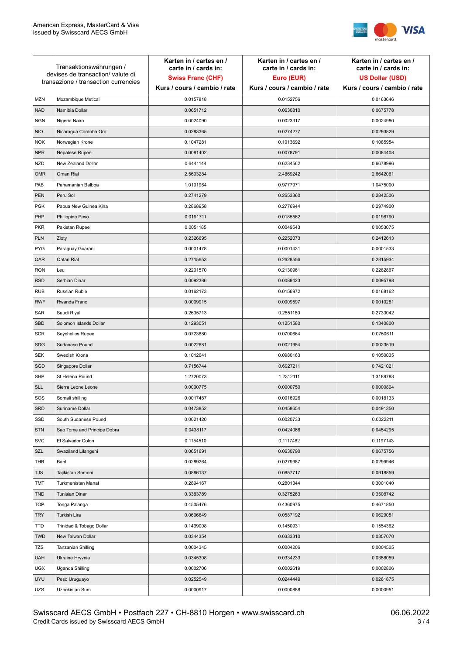

| Transaktionswährungen /<br>devises de transaction/valute di<br>transazione / transaction currencies |                             | Karten in / cartes en /<br>carte in / cards in:<br><b>Swiss Franc (CHF)</b><br>Kurs / cours / cambio / rate | Karten in / cartes en /<br>carte in / cards in:<br>Euro (EUR)<br>Kurs / cours / cambio / rate | Karten in / cartes en /<br>carte in / cards in:<br><b>US Dollar (USD)</b><br>Kurs / cours / cambio / rate |
|-----------------------------------------------------------------------------------------------------|-----------------------------|-------------------------------------------------------------------------------------------------------------|-----------------------------------------------------------------------------------------------|-----------------------------------------------------------------------------------------------------------|
|                                                                                                     |                             |                                                                                                             |                                                                                               |                                                                                                           |
| <b>MZN</b>                                                                                          | Mozambique Metical          | 0.0157818                                                                                                   | 0.0152756                                                                                     | 0.0163646                                                                                                 |
| <b>NAD</b>                                                                                          | Namibia Dollar              | 0.0651712                                                                                                   | 0.0630810                                                                                     | 0.0675778                                                                                                 |
| <b>NGN</b>                                                                                          | Nigeria Naira               | 0.0024090                                                                                                   | 0.0023317                                                                                     | 0.0024980                                                                                                 |
| <b>NIO</b>                                                                                          | Nicaragua Cordoba Oro       | 0.0283365                                                                                                   | 0.0274277                                                                                     | 0.0293829                                                                                                 |
| <b>NOK</b>                                                                                          | Norwegian Krone             | 0.1047281                                                                                                   | 0.1013692                                                                                     | 0.1085954                                                                                                 |
| <b>NPR</b>                                                                                          | Nepalese Rupee              | 0.0081402                                                                                                   | 0.0078791                                                                                     | 0.0084408                                                                                                 |
| <b>NZD</b>                                                                                          | New Zealand Dollar          | 0.6441144                                                                                                   | 0.6234562                                                                                     | 0.6678996                                                                                                 |
| <b>OMR</b>                                                                                          | Oman Rial                   | 2.5693284                                                                                                   | 2.4869242                                                                                     | 2.6642061                                                                                                 |
| PAB                                                                                                 | Panamanian Balboa           | 1.0101964                                                                                                   | 0.9777971                                                                                     | 1.0475000                                                                                                 |
| <b>PEN</b>                                                                                          | Peru Sol                    | 0.2741279                                                                                                   | 0.2653360                                                                                     | 0.2842506                                                                                                 |
| <b>PGK</b>                                                                                          | Papua New Guinea Kina       | 0.2868958                                                                                                   | 0.2776944                                                                                     | 0.2974900                                                                                                 |
| PHP                                                                                                 | Philippine Peso             | 0.0191711                                                                                                   | 0.0185562                                                                                     | 0.0198790                                                                                                 |
| <b>PKR</b>                                                                                          | Pakistan Rupee              | 0.0051185                                                                                                   | 0.0049543                                                                                     | 0.0053075                                                                                                 |
| <b>PLN</b>                                                                                          | Zloty                       | 0.2326695                                                                                                   | 0.2252073                                                                                     | 0.2412613                                                                                                 |
| <b>PYG</b>                                                                                          | Paraguay Guarani            | 0.0001478                                                                                                   | 0.0001431                                                                                     | 0.0001533                                                                                                 |
| QAR                                                                                                 | Qatari Rial                 | 0.2715653                                                                                                   | 0.2628556                                                                                     | 0.2815934                                                                                                 |
| <b>RON</b>                                                                                          | Leu                         | 0.2201570                                                                                                   | 0.2130961                                                                                     | 0.2282867                                                                                                 |
| <b>RSD</b>                                                                                          | Serbian Dinar               | 0.0092386                                                                                                   | 0.0089423                                                                                     | 0.0095798                                                                                                 |
| <b>RUB</b>                                                                                          | Russian Ruble               | 0.0162173                                                                                                   | 0.0156972                                                                                     | 0.0168162                                                                                                 |
| <b>RWF</b>                                                                                          | Rwanda Franc                | 0.0009915                                                                                                   | 0.0009597                                                                                     | 0.0010281                                                                                                 |
| SAR                                                                                                 | Saudi Riyal                 | 0.2635713                                                                                                   | 0.2551180                                                                                     | 0.2733042                                                                                                 |
| <b>SBD</b>                                                                                          | Solomon Islands Dollar      | 0.1293051                                                                                                   | 0.1251580                                                                                     | 0.1340800                                                                                                 |
| <b>SCR</b>                                                                                          | Seychelles Rupee            | 0.0723880                                                                                                   | 0.0700664                                                                                     | 0.0750611                                                                                                 |
| <b>SDG</b>                                                                                          | Sudanese Pound              | 0.0022681                                                                                                   | 0.0021954                                                                                     | 0.0023519                                                                                                 |
| <b>SEK</b>                                                                                          | Swedish Krona               | 0.1012641                                                                                                   | 0.0980163                                                                                     | 0.1050035                                                                                                 |
| SGD                                                                                                 | Singapore Dollar            | 0.7156744                                                                                                   | 0.6927211                                                                                     | 0.7421021                                                                                                 |
| <b>SHP</b>                                                                                          | St Helena Pound             | 1.2720073                                                                                                   | 1.2312111                                                                                     | 1.3189788                                                                                                 |
| <b>SLL</b>                                                                                          | Sierra Leone Leone          | 0.0000775                                                                                                   | 0.0000750                                                                                     | 0.0000804                                                                                                 |
| SOS                                                                                                 | Somali shilling             | 0.0017487                                                                                                   | 0.0016926                                                                                     | 0.0018133                                                                                                 |
| SRD                                                                                                 | Suriname Dollar             | 0.0473852                                                                                                   | 0.0458654                                                                                     | 0.0491350                                                                                                 |
| SSD                                                                                                 | South Sudanese Pound        | 0.0021420                                                                                                   | 0.0020733                                                                                     | 0.0022211                                                                                                 |
| <b>STN</b>                                                                                          | Sao Tome and Principe Dobra | 0.0438117                                                                                                   | 0.0424066                                                                                     | 0.0454295                                                                                                 |
| <b>SVC</b>                                                                                          | El Salvador Colon           | 0.1154510                                                                                                   | 0.1117482                                                                                     | 0.1197143                                                                                                 |
| SZL                                                                                                 | Swaziland Lilangeni         | 0.0651691                                                                                                   | 0.0630790                                                                                     | 0.0675756                                                                                                 |
| THB                                                                                                 | Baht                        | 0.0289264                                                                                                   | 0.0279987                                                                                     | 0.0299946                                                                                                 |
| TJS                                                                                                 | Tajikistan Somoni           | 0.0886137                                                                                                   | 0.0857717                                                                                     | 0.0918859                                                                                                 |
| <b>TMT</b>                                                                                          | Turkmenistan Manat          | 0.2894167                                                                                                   | 0.2801344                                                                                     | 0.3001040                                                                                                 |
| <b>TND</b>                                                                                          | <b>Tunisian Dinar</b>       | 0.3383789                                                                                                   | 0.3275263                                                                                     | 0.3508742                                                                                                 |
| <b>TOP</b>                                                                                          | Tonga Pa'anga               | 0.4505476                                                                                                   | 0.4360975                                                                                     | 0.4671850                                                                                                 |
| <b>TRY</b>                                                                                          | Turkish Lira                | 0.0606649                                                                                                   | 0.0587192                                                                                     | 0.0629051                                                                                                 |
| TTD                                                                                                 | Trinidad & Tobago Dollar    | 0.1499008                                                                                                   | 0.1450931                                                                                     | 0.1554362                                                                                                 |
| <b>TWD</b>                                                                                          | New Taiwan Dollar           | 0.0344354                                                                                                   | 0.0333310                                                                                     | 0.0357070                                                                                                 |
| <b>TZS</b>                                                                                          | Tanzanian Shilling          | 0.0004345                                                                                                   | 0.0004206                                                                                     | 0.0004505                                                                                                 |
| <b>UAH</b>                                                                                          | Ukraine Hryvnia             | 0.0345308                                                                                                   | 0.0334233                                                                                     | 0.0358059                                                                                                 |
| <b>UGX</b>                                                                                          | Uganda Shilling             | 0.0002706                                                                                                   | 0.0002619                                                                                     | 0.0002806                                                                                                 |
| <b>UYU</b>                                                                                          | Peso Uruguayo               | 0.0252549                                                                                                   | 0.0244449                                                                                     | 0.0261875                                                                                                 |
| UZS                                                                                                 | Uzbekistan Sum              | 0.0000917                                                                                                   | 0.0000888                                                                                     | 0.0000951                                                                                                 |